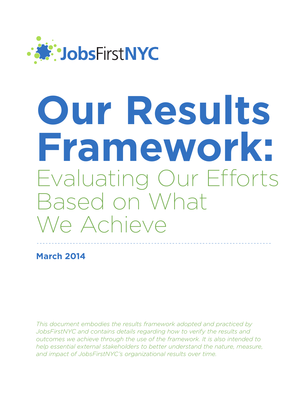

# **Our Results Framework:**  Evaluating Our Efforts Based on What We Achieve

**March 2014**

*This document embodies the results framework adopted and practiced by JobsFirstNYC and contains details regarding how to verify the results and outcomes we achieve through the use of the framework. It is also intended to help essential external stakeholders to better understand the nature, measure, and impact of JobsFirstNYC's organizational results over time.*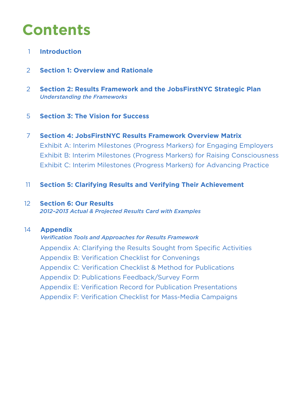## **Contents**

- 1 **Introduction**
- 2 **Section 1: Overview and Rationale**
- 2 **Section 2: Results Framework and the JobsFirstNYC Strategic Plan**  *Understanding the Frameworks*
- 5 **Section 3: The Vision for Success**
- 7 **Section 4: JobsFirstNYC Results Framework Overview Matrix** Exhibit A: Interim Milestones (Progress Markers) for Engaging Employers Exhibit B: Interim Milestones (Progress Markers) for Raising Consciousness Exhibit C: Interim Milestones (Progress Markers) for Advancing Practice
- 11 **Section 5: Clarifying Results and Verifying Their Achievement**

#### 12 **Section 6: Our Results**  *2012–2013 Actual & Projected Results Card with Examples*

#### 14  **Appendix**

#### *Verification Tools and Approaches for Results Framework*

Appendix A: Clarifying the Results Sought from Specific Activities Appendix B: Verification Checklist for Convenings Appendix C: Verification Checklist & Method for Publications Appendix D: Publications Feedback/Survey Form Appendix E: Verification Record for Publication Presentations Appendix F: Verification Checklist for Mass-Media Campaigns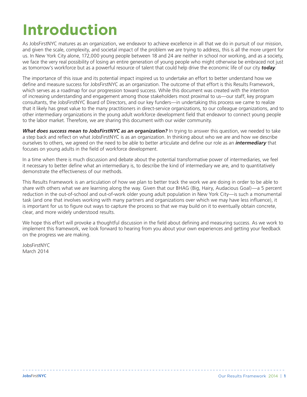## **Introduction**

As JobsFirstNYC matures as an organization, we endeavor to achieve excellence in all that we do in pursuit of our mission, and given the scale, complexity, and societal impact of the problem we are trying to address, this is all the more urgent for us. In New York City alone, 172,000 young people between 18 and 24 are neither in school nor working, and as a society, we face the very real possibility of losing an entire generation of young people who might otherwise be embraced not just as tomorrow's workforce but as a powerful resource of talent that could help drive the economic life of our city *today*.

The importance of this issue and its potential impact inspired us to undertake an effort to better understand how we define and measure success for JobsFirstNYC as an organization. The outcome of that effort is this Results Framework, which serves as a roadmap for our progression toward success. While this document was created with the intention of increasing understanding and engagement among those stakeholders most proximal to us—our staff, key program consultants, the JobsFirstNYC Board of Directors, and our key funders—in undertaking this process we came to realize that it likely has great value to the many practitioners in direct-service organizations, to our colleague organizations, and to other intermediary organizations in the young adult workforce development field that endeavor to connect young people to the labor market. Therefore, we are sharing this document with our wider community.

*What does success mean to JobsFirstNYC as an organization?* In trying to answer this question, we needed to take a step back and reflect on what JobsFirstNYC is as an organization. In thinking about who we are and how we describe ourselves to others, we agreed on the need to be able to better articulate and define our role as an *intermediary* that focuses on young adults in the field of workforce development.

In a time when there is much discussion and debate about the potential transformative power of intermediaries, we feel it necessary to better define what an intermediary is, to describe the kind of intermediary we are, and to quantitatively demonstrate the effectiveness of our methods.

This Results Framework is an articulation of how we plan to better track the work we are doing in order to be able to share with others what we are learning along the way. Given that our BHAG (Big, Hairy, Audacious Goal)—a 5 percent reduction in the out-of-school and out-of-work older young adult population in New York City—is such a monumental task (and one that involves working with many partners and organizations over which we may have less influence), it is important for us to figure out ways to capture the process so that we may build on it to eventually obtain concrete, clear, and more widely understood results.

We hope this effort will provoke a thoughtful discussion in the field about defining and measuring success. As we work to implement this framework, we look forward to hearing from you about your own experiences and getting your feedback on the progress we are making.

JobsFirstNYC March 2014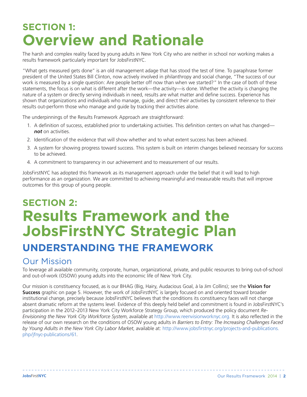## **SECTION 1: Overview and Rationale**

The harsh and complex reality faced by young adults in New York City who are neither in school nor working makes a results framework particularly important for JobsFirstNYC.

"What gets measured gets done" is an old management adage that has stood the test of time. To paraphrase former president of the United States Bill Clinton, now actively involved in philanthropy and social change, "The success of our work is measured by a single question: Are people better off now than when we started?" In the case of both of these statements, the focus is on what is different after the work—the activity—is done. Whether the activity is changing the nature of a system or directly serving individuals in need, results are what matter and define success. Experience has shown that organizations and individuals who manage, guide, and direct their activities by consistent reference to their results out-perform those who manage and guide by tracking their activities alone.

The underpinnings of the Results Framework Approach are straightforward:

- 1. A definition of success, established prior to undertaking activities. This definition centers on what has changed *not* on activities.
- 2. Identification of the evidence that will show whether and to what extent success has been achieved.
- 3. A system for showing progress toward success. This system is built on interim changes believed necessary for success to be achieved.
- 4. A commitment to transparency in our achievement and to measurement of our results.

JobsFirstNYC has adopted this framework as its management approach under the belief that it will lead to high performance as an organization. We are committed to achieving meaningful and measurable results that will improve outcomes for this group of young people.

## **SECTION 2: Results Framework and the JobsFirstNYC Strategic Plan UNDERSTANDING THE FRAMEWORK**

#### Our Mission

To leverage all available community, corporate, human, organizational, private, and public resources to bring out-of-school and out-of-work (OSOW) young adults into the economic life of New York City.

Our mission is constituency focused, as is our BHAG (Big, Hairy, Audacious Goal, à la Jim Collins); see the **Vision for Success** graphic on page 5. However, the work of JobsFirstNYC is largely focused on and oriented toward broader institutional change, precisely because JobsFirstNYC believes that the conditions its constituency faces will not change absent dramatic reform at the systems level. Evidence of this deeply held belief and commitment is found in JobsFirstNYC's participation in the 2012–2013 New York City Workforce Strategy Group, which produced the policy document *Re-Envisioning the New York City Workforce System*, available at http://www.reenvisionworknyc.org. It is also reflected in the release of our own research on the conditions of OSOW young adults in *Barriers to Entry: The Increasing Challenges Faced by Young Adults in the New York City Labor Market*, available at: http://www.jobsfirstnyc.org/projects-and-publications. php/jfnyc-publications/61.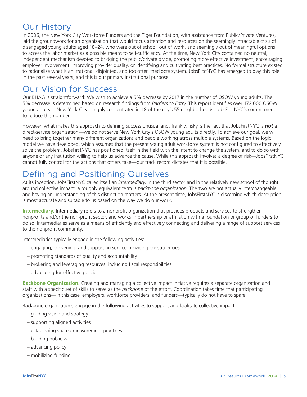#### Our History

In 2006, the New York City Workforce Funders and the Tiger Foundation, with assistance from Public/Private Ventures, laid the groundwork for an organization that would focus attention and resources on the seemingly intractable crisis of disengaged young adults aged 18–24, who were out of school, out of work, and seemingly out of meaningful options to access the labor market as a possible means to self-sufficiency. At the time, New York City contained no neutral, independent mechanism devoted to bridging the public/private divide, promoting more effective investment, encouraging employer involvement, improving provider quality, or identifying and cultivating best practices. No formal structure existed to rationalize what is an irrational, disjointed, and too often mediocre system. JobsFirstNYC has emerged to play this role in the past several years, and this is our primary institutional purpose.

#### Our Vision for Success

Our BHAG is straightforward: We wish to achieve a 5% decrease by 2017 in the number of OSOW young adults. The 5% decrease is determined based on research findings from *Barriers to Entry*. This report identifies over 172,000 OSOW young adults in New York City—highly concentrated in 18 of the city's 55 neighborhoods. JobsFirstNYC's commitment is to reduce this number.

However, what makes this approach to defining success unusual and, frankly, risky is the fact that JobsFirstNYC is *not* a direct-service organization—we do not serve New York City's OSOW young adults directly. To achieve our goal, we will need to bring together many different organizations and people working across multiple systems. Based on the logic model we have developed, which assumes that the present young adult workforce system is not configured to effectively solve the problem, JobsFirstNYC has positioned itself in the field with the intent to change the system, and to do so with anyone or any institution willing to help us advance the cause. While this approach involves a degree of risk—JobsFirstNYC cannot fully control for the actions that others take—our track record dictates that it is possible.

#### Defining and Positioning Ourselves

At its inception, JobsFirstNYC called itself an *intermediary*. In the third sector and in the relatively new school of thought around collective impact, a roughly equivalent term is *backbone organization*. The two are not actually interchangeable and having an understanding of this distinction matters. At the present time, JobsFirstNYC is discerning which description is most accurate and suitable to us based on the way we do our work.

**Intermediary.** Intermediary refers to a nonprofit organization that provides products and services to strengthen nonprofits and/or the non-profit sector, and works in partnership or affiliation with a foundation or group of funders to do so. Intermediaries serve as a means of efficiently and effectively connecting and delivering a range of support services to the nonprofit community.

Intermediaries typically engage in the following activities:

- engaging, convening, and supporting service-providing constituencies
- promoting standards of quality and accountability
- brokering and leveraging resources, including fiscal responsibilities
- advocating for effective policies

**Backbone Organization.** Creating and managing a collective impact initiative requires a separate organization and staff with a specific set of skills to serve as the *backbone* of the effort. Coordination takes time that participating organizations—in this case, employers, workforce providers, and funders—typically do not have to spare.

Backbone organizations engage in the following activities to support and facilitate collective impact:

- guiding vision and strategy
- supporting aligned activities
- establishing shared measurement practices
- building public will
- advancing policy
- mobilizing funding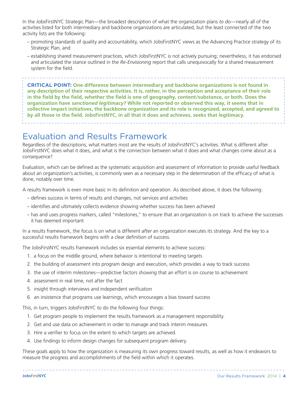In the JobsFirstNYC Strategic Plan—the broadest description of what the organization plans *to do*—nearly all of the activities listed for both intermediary and backbone organizations are articulated, but the least connected of the two activity lists are the following:

- promoting standards of quality and accountability, which JobsFirstNYC views as the Advancing Practice strategy of its Strategic Plan, and
- establishing shared measurement practices, which JobsFirstNYC is not actively pursuing; nevertheless, it has endorsed and articulated the stance outlined in the *Re-Envisioning* report that calls unequivocally for a shared measurement system for the field.

**CRITICAL POINT: One difference between intermediary and backbone organizations is not found in any description of their respective activities. It is, rather, in the perception and acceptance of their role in the field by the field, whether the field is one of geography, content/substance, or both. Does the organization have** *sanctioned legitimacy?* **While not reported or observed this way, it seems that in collective impact initiatives, the backbone organization and its role is recognized, accepted, and agreed to by all those in the field. JobsFirstNYC, in all that it does and achieves, seeks that legitimacy.**

#### Evaluation and Results Framework

Regardless of the descriptions, what matters most are the results of JobsFirstNYC's activities. What is different after JobsFirstNYC does what it does, and what is the connection between what it does and what changes come about as a consequence?

Evaluation, which can be defined as the systematic acquisition and assessment of information to provide useful feedback about an organization's activities, is commonly seen as a necessary step in the determination of the efficacy of what is done, notably over time.

A results framework is even more basic in its definition and operation. As described above, it does the following:

- defines success in terms of results and changes, not services and activities
- identifies and ultimately collects evidence showing whether success has been achieved
- has and uses progress markers, called "milestones," to ensure that an organization is on track to achieve the successes it has deemed important

In a results framework, the focus is on what is different *after* an organization executes its strategy. And the key to a successful results framework begins with a clear definition of success.

The JobsFirstNYC results framework includes six essential elements to achieve success:

- 1. a focus on the middle ground, where behavior is intentional to meeting targets
- 2. the building of assessment into program design and execution, which provides a way to track success
- 3. the use of interim milestones—predictive factors showing that an effort is on course to achievement
- 4. assessment in real time, not after the fact
- 5. insight through interviews and independent verification
- 6. an insistence that programs use learnings, which encourages a bias toward success

This, in turn, triggers JobsFirstNYC to do the following four things:

- 1. Get program people to implement the results framework as a management responsibility.
- 2. Get and use data on achievement in order to manage and track interim measures.
- 3. Hire a verifier to focus on the extent to which targets are achieved.
- 4. Use findings to inform design changes for subsequent program delivery.

These goals apply to how the organization is measuring its own progress toward results, as well as how it endeavors to measure the progress and accomplishments of the field within which it operates.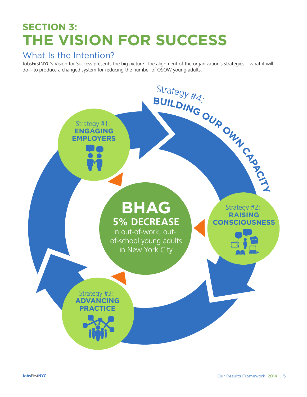## **SECTION 3: THE VISION FOR SUCCESS**

#### What Is the Intention?

JobsFirstNYC's Vision for Success presents the big picture: The alignment of the organization's strategies—what it will do—to produce a changed system for reducing the number of OSOW young adults.

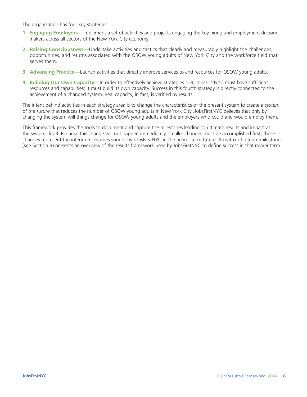The organization has four key strategies:

- **1. Engaging Employers—**Implement a set of activities and projects engaging the key hiring and employment decision makers across all sectors of the New York City economy.
- **2. Raising Consciousness—**Undertake activities and tactics that clearly and measurably highlight the challenges, opportunities, and returns associated with the OSOW young adults of New York City and the workforce field that serves them.
- **3. Advancing Practice—**Launch activities that directly improve services to and resources for OSOW young adults.
- **4. Building Our Own Capacity—**In order to effectively achieve strategies 1–3, JobsFirstNYC must have sufficient resources and capabilities; it must build its own capacity. Success in this fourth strategy is directly connected to the achievement of a changed system. Real capacity, in fact, is verified by results.

The intent behind activities in each strategy area is to change the characteristics of the present system to create a *system of the future* that reduces the number of OSOW young adults in New York City .JobsFirstNYC believes that only by changing the system will things change for OSOW young adults and the employers who could and would employ them.

This framework provides the tools to document and capture the milestones leading to ultimate results and impact at the systems level. Because this change will not happen immediately, smaller changes must be accomplished first; these changes represent the interim milestones sought by JobsFirstNYC in the nearer-term future. A matrix of interim milestones (see Section 3) presents an overview of the results framework used by JobsFirstNYC to define success in that nearer term.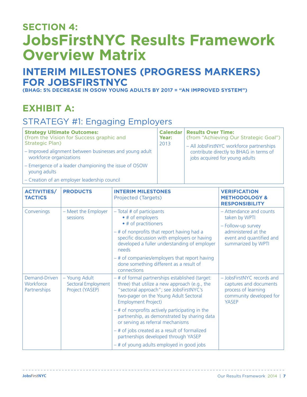## **SECTION 4: JobsFirstNYC Results Framework Overview Matrix**

#### **INTERIM MILESTONES (PROGRESS MARKERS) FOR JOBSFIRSTNYC**

**(BHAG: 5% DECREASE IN OSOW YOUNG ADULTS BY 2017 = "AN IMPROVED SYSTEM")**

#### **EXHIBIT A:**

#### STRATEGY #1: Engaging Employers

| <b>Strategy Ultimate Outcomes:</b><br>(from the Vision for Success graphic and<br>Strategic Plan)<br>- Improved alignment between businesses and young adult<br>workforce organizations | Calendar<br>Year:<br>2013 | <b>Results Over Time:</b><br>(from "Achieving Our Strategic Goal")<br>- All JobsFirstNYC workforce partnerships<br>contribute directly to BHAG in terms of<br>jobs acquired for young adults |
|-----------------------------------------------------------------------------------------------------------------------------------------------------------------------------------------|---------------------------|----------------------------------------------------------------------------------------------------------------------------------------------------------------------------------------------|
| - Emergence of a leader championing the issue of OSOW<br>young adults                                                                                                                   |                           |                                                                                                                                                                                              |
| Creation of an employer leadership sounsil                                                                                                                                              |                           |                                                                                                                                                                                              |

| - Creation of an employer leadership council |  |  |  |  |
|----------------------------------------------|--|--|--|--|
|                                              |  |  |  |  |

| <b>ACTIVITIES/</b><br><b>TACTICS</b>              | <b>PRODUCTS</b>                                         | <b>INTERIM MILESTONES</b><br>Projected (Targets)                                                                                                                                                                      | <b>VERIFICATION</b><br><b>METHODOLOGY &amp;</b><br><b>RESPONSIBILITY</b>                                                                |
|---------------------------------------------------|---------------------------------------------------------|-----------------------------------------------------------------------------------------------------------------------------------------------------------------------------------------------------------------------|-----------------------------------------------------------------------------------------------------------------------------------------|
| Convenings                                        | - Meet the Employer<br>sessions                         | $-$ Total # of participants<br>• # of employers<br>• # of practitioners<br>- # of nonprofits that report having had a<br>specific discussion with employers or having<br>developed a fuller understanding of employer | - Attendance and counts<br>taken by WPTI<br>- Follow-up survey<br>administered at the<br>event and quantified and<br>summarized by WPTI |
|                                                   |                                                         | needs<br>-# of companies/employers that report having<br>done something different as a result of<br>connections                                                                                                       |                                                                                                                                         |
| Demand-Driven<br>Workforce<br><b>Partnerships</b> | - Young Adult<br>Sectoral Employment<br>Project (YASEP) | - # of formal partnerships established (target:<br>three) that utilize a new approach (e.g., the<br>"sectoral approach"; see JobsFirstNYC's<br>two-pager on the Young Adult Sectoral<br><b>Employment Project)</b>    | - JobsFirstNYC records and<br>captures and documents<br>process of learning<br>community developed for<br><b>YASEP</b>                  |
|                                                   |                                                         | $-$ # of nonprofits actively participating in the<br>partnership, as demonstrated by sharing data<br>or serving as referral mechanisms                                                                                |                                                                                                                                         |
|                                                   |                                                         | - # of jobs created as a result of formalized<br>partnerships developed through YASEP                                                                                                                                 |                                                                                                                                         |
|                                                   |                                                         | - # of young adults employed in good jobs                                                                                                                                                                             |                                                                                                                                         |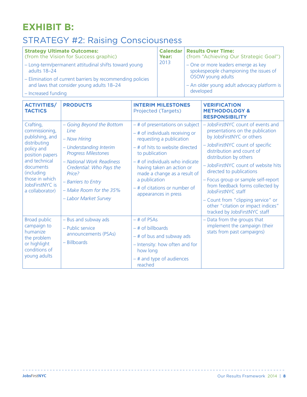### **EXHIBIT B:**

#### STRATEGY #2: Raising Consciousness

| <b>Strategy Ultimate Outcomes:</b><br>(from the Vision for Success graphic)                             | Year: | <b>Calendar   Results Over Time:</b><br>(from "Achieving Our Strategic Goal") |
|---------------------------------------------------------------------------------------------------------|-------|-------------------------------------------------------------------------------|
| - Long-term/permanent attitudinal shifts toward young<br>adults 18-24                                   | 2013  | - One or more leaders emerge as key<br>spokespeople championing the issues of |
| - Elimination of current barriers by recommending policies<br>and laws that consider young adults 18-24 |       | OSOW young adults<br>- An older young adult advocacy platform is              |
| $\vert$ – Increased funding                                                                             |       | developed                                                                     |

| <b>ACTIVITIES/</b><br><b>TACTICS</b>                                                                                                                                                                | <b>PRODUCTS</b>                                                                                                                                                                                                                                          | <b>INTERIM MILESTONES</b><br>Projected (Targets)                                                                                                                                                                                                                                                                                     | <b>VERIFICATION</b><br><b>METHODOLOGY &amp;</b><br><b>RESPONSIBILITY</b>                                                                                                                                                                                                                                                                                                                                                                                                         |
|-----------------------------------------------------------------------------------------------------------------------------------------------------------------------------------------------------|----------------------------------------------------------------------------------------------------------------------------------------------------------------------------------------------------------------------------------------------------------|--------------------------------------------------------------------------------------------------------------------------------------------------------------------------------------------------------------------------------------------------------------------------------------------------------------------------------------|----------------------------------------------------------------------------------------------------------------------------------------------------------------------------------------------------------------------------------------------------------------------------------------------------------------------------------------------------------------------------------------------------------------------------------------------------------------------------------|
| Crafting,<br>commissioning,<br>publishing, and<br>distributing<br>policy and<br>position papers<br>and technical<br>documents<br>(including<br>those in which<br>JobsFirstNYC is<br>a collaborator) | - Going Beyond the Bottom<br>line<br>- Now Hiring<br>- Understanding Interim<br><b>Progress Milestones</b><br>- National Work Readiness<br>Credential: Who Pays the<br>Price?<br>- Barriers to Entry<br>- Make Room for the 35%<br>- Labor Market Survey | $-$ # of presentations on subject<br>$-$ # of individuals receiving or<br>requesting a publication<br>-# of hits to website directed<br>to publication<br>$-$ # of individuals who indicate<br>having taken an action or<br>made a change as a result of<br>a publication<br>$-$ # of citations or number of<br>appearances in press | - JobsFirstNYC count of events and<br>presentations on the publication<br>by JobsFirstNYC or others<br>- JobsFirstNYC count of specific<br>distribution and count of<br>distribution by others<br>- JobsFirstNYC count of website hits<br>directed to publications<br>- Focus group or sample self-report<br>from feedback forms collected by<br>JobsFirstNYC staff<br>- Count from "clipping service" or<br>other "citation or impact indices"<br>tracked by JobsFirstNYC staff |
| <b>Broad public</b><br>campaign to<br>humanize<br>the problem<br>or highlight<br>conditions of<br>young adults                                                                                      | - Bus and subway ads<br>- Public service<br>announcements (PSAs)<br>$-$ Billboards                                                                                                                                                                       | $-$ # of PSAs<br>$-$ # of billboards<br>$-$ # of bus and subway ads<br>- Intensity: how often and for<br>how long<br>$-$ # and type of audiences<br>reached                                                                                                                                                                          | - Data from the groups that<br>implement the campaign (their<br>stats from past campaigns)                                                                                                                                                                                                                                                                                                                                                                                       |

 $=$   $-$ 

\_\_\_\_\_\_\_\_\_\_\_\_\_\_\_\_\_\_\_\_\_\_\_\_\_\_\_\_\_\_\_

<u>. . . . . . . . . . . . .</u>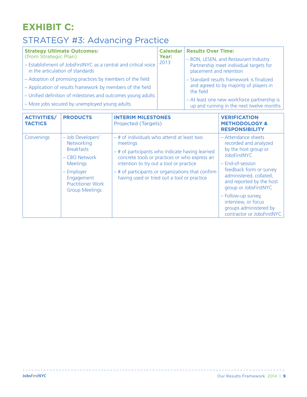### **EXHIBIT C:**

## STRATEGY #3: Advancing Practice

| <b>Strategy Ultimate Outcomes:</b>                                                                  |       | <b>Calendar   Results Over Time:</b>                                                    |
|-----------------------------------------------------------------------------------------------------|-------|-----------------------------------------------------------------------------------------|
| (from Strategic Plan)                                                                               | Year: | - BON, LESEN, and Restaurant Industry                                                   |
| - Establishment of JobsFirstNYC as a central and critical voice<br>in the articulation of standards | 2013  | Partnership meet individual targets for<br>placement and retention                      |
| - Adoption of promising practices by members of the field                                           |       | - Standard results framework is finalized                                               |
| - Application of results framework by members of the field                                          |       | and agreed to by majority of players in<br>the field                                    |
| - Unified definition of milestones and outcomes young adults                                        |       |                                                                                         |
| - More jobs secured by unemployed young adults                                                      |       | - At least one new workforce partnership is<br>up and running in the next twelve months |

| <b>ACTIVITIES/</b><br><b>TACTICS</b> | <b>PRODUCTS</b>                                                                                                                                                            | <b>INTERIM MILESTONES</b><br>Projected (Targets)                                                                                                                                                                                                                                                            | <b>VERIFICATION</b><br><b>METHODOLOGY &amp;</b><br><b>RESPONSIBILITY</b>                                                                                                                                                                                                                                                  |
|--------------------------------------|----------------------------------------------------------------------------------------------------------------------------------------------------------------------------|-------------------------------------------------------------------------------------------------------------------------------------------------------------------------------------------------------------------------------------------------------------------------------------------------------------|---------------------------------------------------------------------------------------------------------------------------------------------------------------------------------------------------------------------------------------------------------------------------------------------------------------------------|
| Convenings                           | - Job Developers'<br>Networking<br><b>Breakfasts</b><br>$-CBO Network$<br><b>Meetings</b><br>– Employer<br>Engagement<br><b>Practitioner Work</b><br><b>Group Meetings</b> | - # of individuals who attend at least two<br>meetings<br>- # of participants who indicate having learned<br>concrete tools or practices or who express an<br>intention to try out a tool or practice<br>$-$ # of participants or organizations that confirm<br>having used or tried out a tool or practice | - Attendance sheets<br>recorded and analyzed<br>by the host group or<br>JobsFirstNYC<br>- End-of-session<br>feedback form or survey<br>administered, collated,<br>and reported by the host<br>group or JobsFirstNYC<br>- Follow-up survey,<br>interview, or focus<br>groups administered by<br>contractor or JobsFirstNYC |

---------------------------------

 $\omega$   $\omega$ 

\_\_\_\_\_\_\_\_\_\_\_\_\_\_\_\_\_\_\_\_\_\_\_\_\_\_\_\_\_\_\_\_\_\_\_\_\_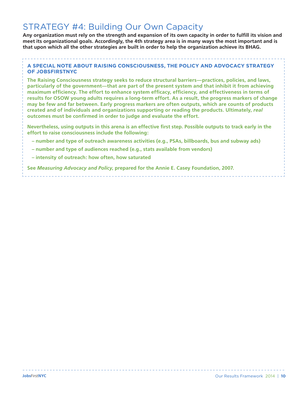#### STRATEGY #4: Building Our Own Capacity

**Any organization must rely on the strength and expansion of its own capacity in order to fulfill its vision and meet its organizational goals. Accordingly, the 4th strategy area is in many ways the most important and is that upon which all the other strategies are built in order to help the organization achieve its BHAG.** 

#### **A SPECIAL NOTE ABOUT RAISING CONSCIOUSNESS, THE POLICY AND ADVOCACY STRATEGY OF JOBSFIRSTNYC**

**The Raising Consciousness strategy seeks to reduce structural barriers—practices, policies, and laws, particularly of the government—that are part of the present system and that inhibit it from achieving maximum efficiency. The effort to enhance system efficacy, efficiency, and effectiveness in terms of results for OSOW young adults requires a long-term effort. As a result, the progress markers of change may be few and far between. Early progress markers are often outputs, which are counts of products created and of individuals and organizations supporting or reading the products. Ultimately,** *real* **outcomes must be confirmed in order to judge and evaluate the effort.** 

**Nevertheless, using outputs in this arena is an effective first step. Possible outputs to track early in the effort to raise consciousness include the following:**

- **number and type of outreach awareness activities (e.g., PSAs, billboards, bus and subway ads)**
- **number and type of audiences reached (e.g., stats available from vendors)**
- **intensity of outreach: how often, how saturated**

**See** *Measuring Advocacy and Policy***, prepared for the Annie E. Casey Foundation, 2007.**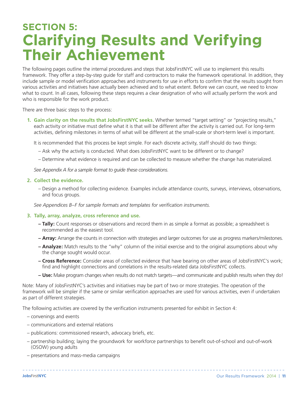## **SECTION 5: Clarifying Results and Verifying Their Achievement**

The following pages outline the internal procedures and steps that JobsFirstNYC will use to implement this results framework. They offer a step-by-step guide for staff and contractors to make the framework operational. In addition, they include sample or model verification approaches and instruments for use in efforts to confirm that the results sought from various activities and initiatives have actually been achieved and to what extent. Before we can count, we need to know what to count. In all cases, following these steps requires a clear designation of who will actually perform the work and who is responsible for the work product.

There are three basic steps to the process:

**1. Gain clarity on the results that JobsFirstNYC seeks.** Whether termed "target setting" or "projecting results," each activity or initiative must define what it is that will be different after the activity is carried out. For long-term activities, defining milestones in terms of what will be different at the small-scale or short-term level is important.

It is recommended that this process be kept simple. For each discrete activity, staff should do two things:

- Ask why the activity is conducted. What does JobsFirstNYC want to be different or to change?
- Determine what evidence is required and can be collected to measure whether the change has materialized.

*See Appendix A for a sample format to guide these considerations.*

#### **2. Collect the evidence.**

– Design a method for collecting evidence. Examples include attendance counts, surveys, interviews, observations, and focus groups.

*See Appendices B–F for sample formats and templates for verification instruments.*

#### **3. Tally, array, analyze, cross reference and use.**

- **Tally:** Count responses or observations and record them in as simple a format as possible; a spreadsheet is recommended as the easiest tool.
- **Array:** Arrange the counts in connection with strategies and larger outcomes for use as progress markers/milestones.
- **Analyze:** Match results to the "why" column of the initial exercise and to the original assumptions about why the change sought would occur.
- **Cross Reference:** Consider areas of collected evidence that have bearing on other areas of JobsFirstNYC's work; find and highlight connections and correlations in the results-related data JobsFirstNYC collects.
- **Use:** Make program changes when results do not match targets—and communicate and publish results when they do!

Note: Many of JobsFirstNYC's activities and initiatives may be part of two or more strategies. The operation of the framework will be simpler if the same or similar verification approaches are used for various activities, even if undertaken as part of different strategies.

The following activities are covered by the verification instruments presented for exhibit in Section 4:

- convenings and events
- communications and external relations
- publications: commissioned research, advocacy briefs, etc.
- partnership building; laying the groundwork for workforce partnerships to benefit out-of-school and out-of-work (OSOW) young adults
- presentations and mass-media campaigns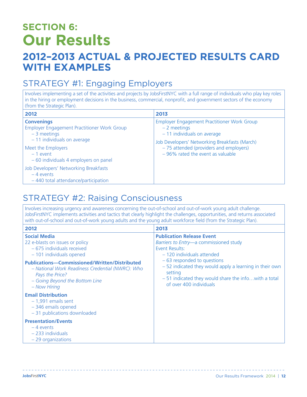## **SECTION 6: Our Results**

### **2012–2013 ACTUAL & PROJECTED RESULTS CARD WITH EXAMPLES**

#### STRATEGY #1: Engaging Employers

Involves implementing a set of the activities and projects by JobsFirstNYC with a full range of individuals who play key roles in the hiring or employment decisions in the business, commercial, nonprofit, and government sectors of the economy (from the Strategic Plan).

| 2012                                                                                                              | 2013                                                                                                                                                                                     |
|-------------------------------------------------------------------------------------------------------------------|------------------------------------------------------------------------------------------------------------------------------------------------------------------------------------------|
| <b>Convenings</b><br>Employer Engagement Practitioner Work Group<br>$-3$ meetings<br>$-11$ individuals on average | Employer Engagement Practitioner Work Group<br>$-2$ meetings<br>$-11$ individuals on average<br>Job Developers' Networking Breakfasts (March)<br>- 75 attended (providers and employers) |
| Meet the Employers<br>$-1$ event<br>- 60 individuals 4 employers on panel                                         | $-96\%$ rated the event as valuable                                                                                                                                                      |
| Job Developers' Networking Breakfasts<br>$-4$ events<br>- 440 total attendance/participation                      |                                                                                                                                                                                          |

#### STRATEGY #2: Raising Consciousness

Involves increasing urgency and awareness concerning the out-of-school and out-of-work young adult challenge. JobsFirstNYC implements activities and tactics that clearly highlight the challenges, opportunities, and returns associated with out-of-school and out-of-work young adults and the young adult workforce field (from the Strategic Plan).

| 2012                                                                                                                                                                          | 2013                                                                                                                                                                                  |
|-------------------------------------------------------------------------------------------------------------------------------------------------------------------------------|---------------------------------------------------------------------------------------------------------------------------------------------------------------------------------------|
| <b>Social Media</b><br>22 e-blasts on issues or policy<br>- 675 individuals received<br>- 101 individuals opened                                                              | <b>Publication Release Event</b><br><i>Barriers to Entry—a commissioned study</i><br>Event Results:<br>- 120 individuals attended                                                     |
| <b>Publications-Commissioned/Written/Distributed</b><br>– National Work Readiness Credential (NWRC): Who<br>Pays the Price?<br>- Going Beyond the Bottom Line<br>– Now Hiring | -63 responded to questions<br>- 52 indicated they would apply a learning in their own<br>setting<br>$-51$ indicated they would share the info with a total<br>of over 400 individuals |
| <b>Email Distribution</b><br>$-1,991$ emails sent<br>-346 emails opened<br>- 31 publications downloaded                                                                       |                                                                                                                                                                                       |
| <b>Presentation/Events</b><br>$-4$ events<br>$-233$ individuals<br>$-29$ organizations                                                                                        |                                                                                                                                                                                       |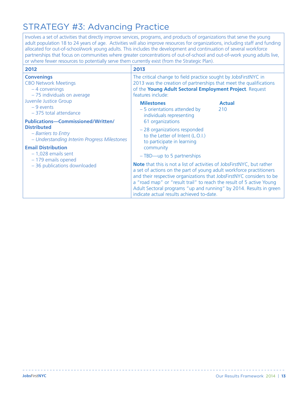#### STRATEGY #3: Advancing Practice

Involves a set of activities that directly improve services, programs, and products of organizations that serve the young adult population 18 to 24 years of age. Activities will also improve resources for organizations, including staff and funding allocated for out-of-school/work young adults. This includes the development and continuation of several workforce partnerships that focus on communities where greater concentrations of out-of-school and out-of-work young adults live, or where fewer resources to potentially serve them currently exist (from the Strategic Plan).

| 2012                                                                                                                                                                                                                                              | 2013                                                                                                                                                                                                                                                                                                                                                                                                                    |
|---------------------------------------------------------------------------------------------------------------------------------------------------------------------------------------------------------------------------------------------------|-------------------------------------------------------------------------------------------------------------------------------------------------------------------------------------------------------------------------------------------------------------------------------------------------------------------------------------------------------------------------------------------------------------------------|
| <b>Convenings</b><br><b>CBO Network Meetings</b><br>$-4$ convenings<br>- 75 individuals on average                                                                                                                                                | The critical change to field practice sought by JobsFirstNYC in<br>2013 was the creation of partnerships that meet the qualifications<br>of the Young Adult Sectoral Employment Project. Request<br>features include:                                                                                                                                                                                                   |
| Juvenile Justice Group<br>$-9$ events<br>-375 total attendance                                                                                                                                                                                    | <b>Milestones</b><br><b>Actual</b><br>- 5 orientations attended by<br>210<br>individuals representing                                                                                                                                                                                                                                                                                                                   |
| <b>Publications-Commissioned/Written/</b><br><b>Distributed</b><br>- Barriers to Entry<br>- Understanding Interim Progress Milestones<br><b>Email Distribution</b><br>$-1,028$ emails sent<br>- 179 emails opened<br>- 36 publications downloaded | 61 organizations<br>-28 organizations responded<br>to the Letter of Intent (L.O.I.)<br>to participate in learning<br>community<br>- TBD-up to 5 partnerships                                                                                                                                                                                                                                                            |
|                                                                                                                                                                                                                                                   | <b>Note</b> that this is not a list of activities of JobsFirstNYC, but rather<br>a set of actions on the part of young adult workforce practitioners<br>and their respective organizations that JobsFirstNYC considers to be<br>a "road map" or "result trail" to reach the result of 5 active Young<br>Adult Sectoral programs "up and running" by 2014. Results in green<br>indicate actual results achieved to-date. |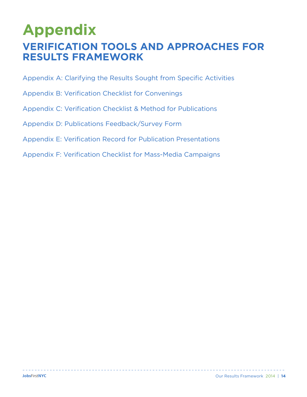## **Appendix VERIFICATION TOOLS AND APPROACHES FOR RESULTS FRAMEWORK**

Appendix A: Clarifying the Results Sought from Specific Activities 

- Appendix B: Verification Checklist for Convenings
- Appendix C: Verification Checklist & Method for Publications
- Appendix D: Publications Feedback/Survey Form
- Appendix E: Verification Record for Publication Presentations
- Appendix F: Verification Checklist for Mass-Media Campaigns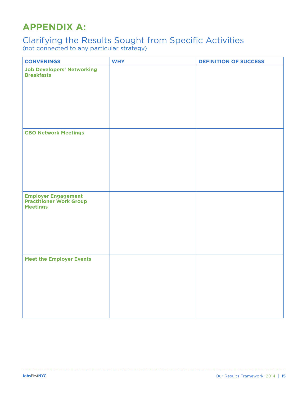### **APPENDIX A:**

### Clarifying the Results Sought from Specific Activities

(not connected to any particular strategy)

| <b>CONVENINGS</b>                                                               | <b>WHY</b> | <b>DEFINITION OF SUCCESS</b> |
|---------------------------------------------------------------------------------|------------|------------------------------|
| <b>Job Developers' Networking</b><br><b>Breakfasts</b>                          |            |                              |
| <b>CBO Network Meetings</b>                                                     |            |                              |
| <b>Employer Engagement</b><br><b>Practitioner Work Group</b><br><b>Meetings</b> |            |                              |
| <b>Meet the Employer Events</b>                                                 |            |                              |

<u>. . . . . . . . . . . . . . .</u>

 $\frac{1}{2}$  =  $\frac{1}{2}$  =  $\frac{1}{2}$  =  $\frac{1}{2}$  =  $\frac{1}{2}$  =  $\frac{1}{2}$  =  $\frac{1}{2}$ 

----------------------------------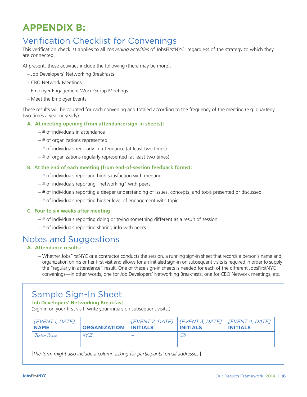### **APPENDIX B:**

#### Verification Checklist for Convenings

This verification checklist applies to all *convening activities* of JobsFirstNYC, regardless of the strategy to which they are connected.

At present, these activities include the following (there may be more):

- Job Developers' Networking Breakfasts
- CBO Network Meetings
- Employer Engagement Work Group Meetings
- Meet the Employer Events

These results will be counted for each convening and totaled according to the frequency of the meeting (e.g. quarterly, two times a year or yearly):

#### **A. At meeting opening (from attendance/sign-in sheets):**

- # of individuals in attendance
- # of organizations represented
- # of individuals regularly in attendance (at least two times)
- # of organizations regularly represented (at least two times)

#### **B. At the end of each meeting (from end-of-session feedback forms):**

- # of individuals reporting high satisfaction with meeting
- # of individuals reporting "networking" with peers
- # of individuals reporting a deeper understanding of issues, concepts, and tools presented or discussed
- # of individuals reporting higher level of engagement with topic

#### **C. Four to six weeks after meeting:**

- # of individuals reporting doing or trying something different as a result of session
- # of individuals reporting sharing info with peers

#### Notes and Suggestions

#### **A. Attendance results:**

– Whether JobsFirstNYC or a contractor conducts the session, a running sign-in sheet that records a person's name and organization on his or her first visit and allows for an initialed sign-in on subsequent visits is required in order to supply the "regularly in attendance" result. One of these sign-in sheets is needed for each of the different JobsFirstNYC convenings—in other words, one for Job Developers' Networking Breakfasts, one for CBO Network meetings, etc.

#### Sample Sign-In Sheet

**Job Developers' Networking Breakfast**

(Sign in on your first visit; write your initials on subsequent visits.)

| [EVENT 1, DATE]<br><b>NAME</b> | <b>ORGANIZATION INITIALS</b> | $[EVENT 2, DATE]   [EVENT 3, DATE]   [EVENT 4, DATE]$<br><b>INITIALS</b> | <b>INITIALS</b> |
|--------------------------------|------------------------------|--------------------------------------------------------------------------|-----------------|
| John Doe                       | XYZ                          |                                                                          |                 |
|                                |                              |                                                                          |                 |

[*The form might also include a column asking for participants' email addresses.*]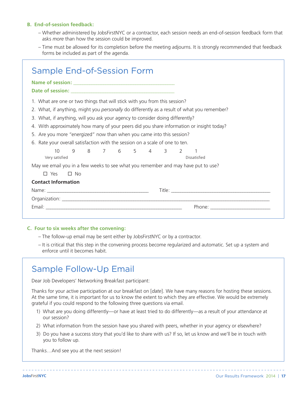#### **B. End-of-session feedback:**

- Whether administered by JobsFirstNYC or a contractor, each session needs an end-of-session feedback form that asks *more* than how the session could be improved.
- Time must be allowed for its completion before the meeting adjourns. It is strongly recommended that feedback forms be included as part of the agenda.

| <b>Sample End-of-Session Form</b>                                                           |  |  |  |  |
|---------------------------------------------------------------------------------------------|--|--|--|--|
|                                                                                             |  |  |  |  |
|                                                                                             |  |  |  |  |
| 1. What are one or two things that will stick with you from this session?                   |  |  |  |  |
| 2. What, if anything, might you personally do differently as a result of what you remember? |  |  |  |  |
| 3. What, if anything, will you ask your agency to consider doing differently?               |  |  |  |  |
| 4. With approximately how many of your peers did you share information or insight today?    |  |  |  |  |
| 5. Are you more "energized" now than when you came into this session?                       |  |  |  |  |
| Rate your overall satisfaction with the session on a scale of one to ten.<br>6.             |  |  |  |  |
| 9 8 7 6 5 4 3 2 1<br>10                                                                     |  |  |  |  |
| Very satisfied<br>Dissatisfied                                                              |  |  |  |  |
| May we email you in a few weeks to see what you remember and may have put to use?           |  |  |  |  |
| $\Box$ Yes<br>$\square$ No                                                                  |  |  |  |  |
| <b>Contact Information</b>                                                                  |  |  |  |  |
|                                                                                             |  |  |  |  |
|                                                                                             |  |  |  |  |
|                                                                                             |  |  |  |  |
|                                                                                             |  |  |  |  |

#### **C. Four to six weeks after the convening:**

- The follow-up email may be sent either by JobsFirstNYC or by a contractor.
- It is critical that this step in the convening process become regularized and automatic. Set up a system and enforce until it becomes habit.

#### Sample Follow-Up Email

Dear Job Developers' Networking Breakfast participant:

Thanks for your active participation at our breakfast on [*date*]. We have many reasons for hosting these sessions. At the same time, it is important for us to know the extent to which they are effective. We would be extremely grateful if you could respond to the following three questions via email.

- 1) What are you doing differently—or have at least tried to do differently—as a result of your attendance at our session?
- 2) What information from the session have you shared with peers, whether in your agency or elsewhere?
- 3) Do you have a success story that you'd like to share with us? If so, let us know and we'll be in touch with you to follow up.

Thanks…And see you at the next session!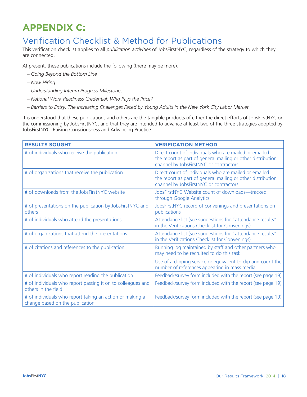### **APPENDIX C:**

#### Verification Checklist & Method for Publications

This verification checklist applies to all *publication activities* of JobsFirstNYC, regardless of the strategy to which they are connected.

At present, these publications include the following (there may be more):

- *Going Beyond the Bottom Line*
- *Now Hiring*
- *Understanding Interim Progress Milestones*
- *National Work Readiness Credential: Who Pays the Price?*
- *Barriers to Entry: The Increasing Challenges Faced by Young Adults in the New York City Labor Market*

It is understood that these publications and others are the tangible products of either the direct efforts of JobsFirstNYC or the commissioning by JobsFirstNYC, and that they are intended to advance at least two of the three strategies adopted by JobsFirstNYC: Raising Consciousness and Advancing Practice.

| <b>RESULTS SOUGHT</b>                                                                       | <b>VERIFICATION METHOD</b>                                                                                                                                     |
|---------------------------------------------------------------------------------------------|----------------------------------------------------------------------------------------------------------------------------------------------------------------|
| # of individuals who receive the publication                                                | Direct count of individuals who are mailed or emailed<br>the report as part of general mailing or other distribution<br>channel by JobsFirstNYC or contractors |
| # of organizations that receive the publication                                             | Direct count of individuals who are mailed or emailed<br>the report as part of general mailing or other distribution<br>channel by JobsFirstNYC or contractors |
| # of downloads from the JobsFirstNYC website                                                | JobsFirstNYC Website count of downloads-tracked<br>through Google Analytics                                                                                    |
| # of presentations on the publication by JobsFirstNYC and<br>others                         | JobsFirstNYC record of convenings and presentations on<br>publications                                                                                         |
| # of individuals who attend the presentations                                               | Attendance list (see suggestions for "attendance results"<br>in the Verifications Checklist for Convenings)                                                    |
| # of organizations that attend the presentations                                            | Attendance list (see suggestions for "attendance results"<br>in the Verifications Checklist for Convenings)                                                    |
| # of citations and references to the publication                                            | Running log maintained by staff and other partners who<br>may need to be recruited to do this task                                                             |
|                                                                                             | Use of a clipping service or equivalent to clip and count the<br>number of references appearing in mass media                                                  |
| # of individuals who report reading the publication                                         | Feedback/survey form included with the report (see page 19)                                                                                                    |
| # of individuals who report passing it on to colleagues and<br>others in the field          | Feedback/survey form included with the report (see page 19)                                                                                                    |
| # of individuals who report taking an action or making a<br>change based on the publication | Feedback/survey form included with the report (see page 19)                                                                                                    |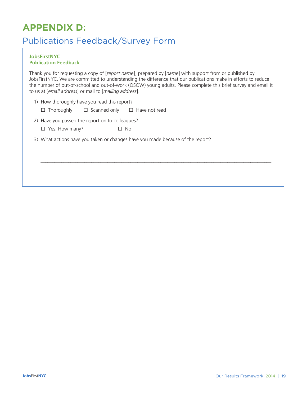### **APPENDIX D:**

#### Publications Feedback/Survey Form

#### **JobsFirstNYC Publication Feedback**

Thank you for requesting a copy of [*report name*], prepared by [*name*] with support from or published by JobsFirstNYC. We are committed to understanding the difference that our publications make in efforts to reduce the number of out-of-school and out-of-work (OSOW) young adults. Please complete this brief survey and email it to us at [*email address*] or mail to [*mailing address*].

 $\Box$ 

 $\Box$ 

 $\Box$ 

- 1) How thoroughly have you read this report?
	- $\square$  Thoroughly  $\square$  Scanned only  $\square$  Have not read
- 2) Have you passed the report on to colleagues?
	- ¨ Yes. How many?\_\_\_\_\_\_\_\_\_ ¨ No
- 3) What actions have you taken or changes have you made because of the report?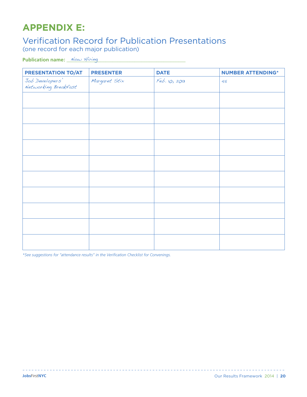### **APPENDIX E:**

## Verification Record for Publication Presentations (one record for each major publication)

Publication name: <u>Now Hiring and the contract of the set of the set of the set of the set of the set of the set o</u>

| PRESENTATION TO/AT                      | <b>PRESENTER</b> | <b>DATE</b>   | <b>NUMBER ATTENDING*</b> |
|-----------------------------------------|------------------|---------------|--------------------------|
| Job Developers'<br>Networking Breakfast | Margaret Stix    | Feb. 10, 2013 | 45                       |
|                                         |                  |               |                          |
|                                         |                  |               |                          |
|                                         |                  |               |                          |
|                                         |                  |               |                          |
|                                         |                  |               |                          |
|                                         |                  |               |                          |
|                                         |                  |               |                          |
|                                         |                  |               |                          |
|                                         |                  |               |                          |
|                                         |                  |               |                          |

*\*See suggestions for "attendance results" in the Verification Checklist for Convenings.*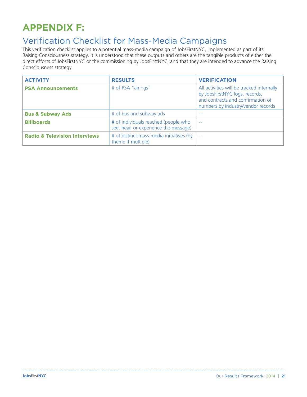## **APPENDIX F:**

#### Verification Checklist for Mass-Media Campaigns

This verification checklist applies to a potential mass-media campaign of JobsFirstNYC, implemented as part of its Raising Consciousness strategy. It is understood that these outputs and others are the tangible products of either the direct efforts of JobsFirstNYC or the commissioning by JobsFirstNYC, and that they are intended to advance the Raising Consciousness strategy.

| <b>ACTIVITY</b>                          | <b>RESULTS</b>                                                                | <b>VERIFICATION</b>                                                                                                                                    |
|------------------------------------------|-------------------------------------------------------------------------------|--------------------------------------------------------------------------------------------------------------------------------------------------------|
| <b>PSA Announcements</b>                 | # of PSA "airings"                                                            | All activities will be tracked internally<br>by JobsFirstNYC logs, records,<br>and contracts and confirmation of<br>numbers by industry/vendor records |
| <b>Bus &amp; Subway Ads</b>              | # of bus and subway ads                                                       | --                                                                                                                                                     |
| <b>Billboards</b>                        | # of individuals reached (people who<br>see, hear, or experience the message) | $\sim$                                                                                                                                                 |
| <b>Radio &amp; Television Interviews</b> | # of distinct mass-media initiatives (by<br>theme if multiple)                | $- -$                                                                                                                                                  |

<u>. . . . . . . . . . . . .</u>

 $\frac{1}{2}$  . <br> <br> <br> <br> <br> <br> <br><br><br><br><br>